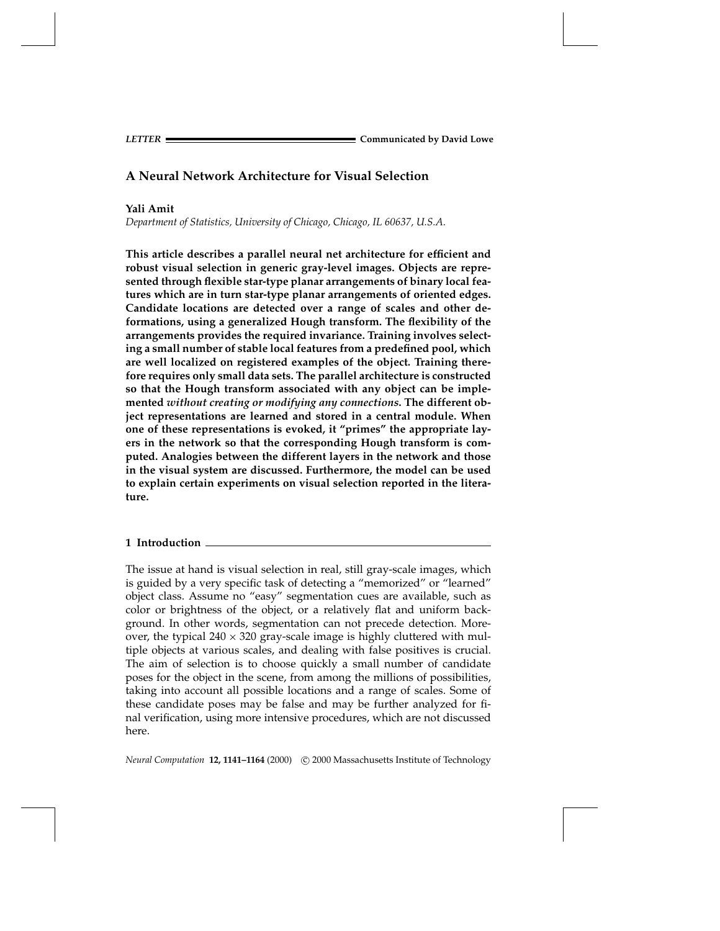**Communicated by David Lowe**<br> **Communicated by David Lowe** 

# **A Neural Network Architecture for Visual Selection**

# **Yali Amit**

*Department of Statistics, University of Chicago, Chicago, IL 60637, U.S.A.*

**This article describes a parallel neural net architecture for efficient and robust visual selection in generic gray-level images. Objects are represented through flexible star-type planar arrangements of binary local features which are in turn star-type planar arrangements of oriented edges. Candidate locations are detected over a range of scales and other deformations, using a generalized Hough transform. The flexibility of the arrangements provides the required invariance. Training involves selecting a small number of stable local features from a predefined pool, which are well localized on registered examples of the object. Training therefore requires only small data sets. The parallel architecture is constructed so that the Hough transform associated with any object can be implemented** *without creating or modifying any connections***. The different object representations are learned and stored in a central module. When one of these representations is evoked, it "primes" the appropriate layers in the network so that the corresponding Hough transform is computed. Analogies between the different layers in the network and those in the visual system are discussed. Furthermore, the model can be used to explain certain experiments on visual selection reported in the literature.**

# **1 Introduction**

The issue at hand is visual selection in real, still gray-scale images, which is guided by a very specific task of detecting a "memorized" or "learned" object class. Assume no "easy" segmentation cues are available, such as color or brightness of the object, or a relatively flat and uniform background. In other words, segmentation can not precede detection. Moreover, the typical  $240 \times 320$  gray-scale image is highly cluttered with multiple objects at various scales, and dealing with false positives is crucial. The aim of selection is to choose quickly a small number of candidate poses for the object in the scene, from among the millions of possibilities, taking into account all possible locations and a range of scales. Some of these candidate poses may be false and may be further analyzed for final verification, using more intensive procedures, which are not discussed here.

*Neural Computation* **12, 1141–1164** (2000) © 2000 Massachusetts Institute of Technology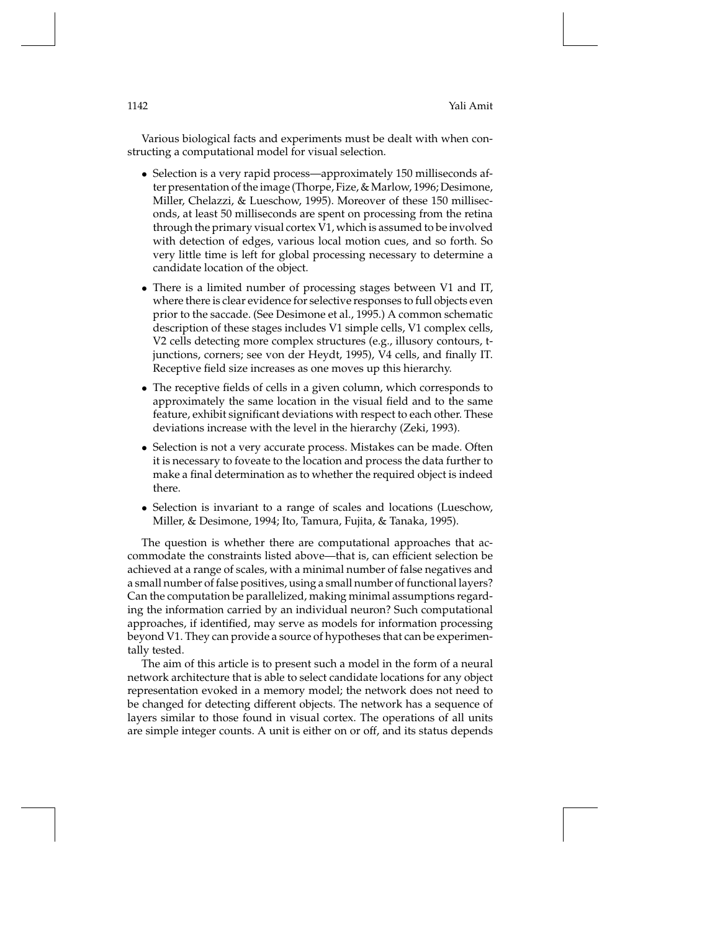Various biological facts and experiments must be dealt with when constructing a computational model for visual selection.

- Selection is a very rapid process—approximately 150 milliseconds after presentation of the image (Thorpe, Fize, & Marlow, 1996; Desimone, Miller, Chelazzi, & Lueschow, 1995). Moreover of these 150 milliseconds, at least 50 milliseconds are spent on processing from the retina through the primary visual cortex V1, which is assumed to be involved with detection of edges, various local motion cues, and so forth. So very little time is left for global processing necessary to determine a candidate location of the object.
- There is a limited number of processing stages between V1 and IT, where there is clear evidence for selective responses to full objects even prior to the saccade. (See Desimone et al., 1995.) A common schematic description of these stages includes V1 simple cells, V1 complex cells, V2 cells detecting more complex structures (e.g., illusory contours, tjunctions, corners; see von der Heydt, 1995), V4 cells, and finally IT. Receptive field size increases as one moves up this hierarchy.
- The receptive fields of cells in a given column, which corresponds to approximately the same location in the visual field and to the same feature, exhibit significant deviations with respect to each other. These deviations increase with the level in the hierarchy (Zeki, 1993).
- Selection is not a very accurate process. Mistakes can be made. Often it is necessary to foveate to the location and process the data further to make a final determination as to whether the required object is indeed there.
- Selection is invariant to a range of scales and locations (Lueschow, Miller, & Desimone, 1994; Ito, Tamura, Fujita, & Tanaka, 1995).

The question is whether there are computational approaches that accommodate the constraints listed above—that is, can efficient selection be achieved at a range of scales, with a minimal number of false negatives and a small number of false positives, using a small number of functional layers? Can the computation be parallelized, making minimal assumptions regarding the information carried by an individual neuron? Such computational approaches, if identified, may serve as models for information processing beyond V1. They can provide a source of hypotheses that can be experimentally tested.

The aim of this article is to present such a model in the form of a neural network architecture that is able to select candidate locations for any object representation evoked in a memory model; the network does not need to be changed for detecting different objects. The network has a sequence of layers similar to those found in visual cortex. The operations of all units are simple integer counts. A unit is either on or off, and its status depends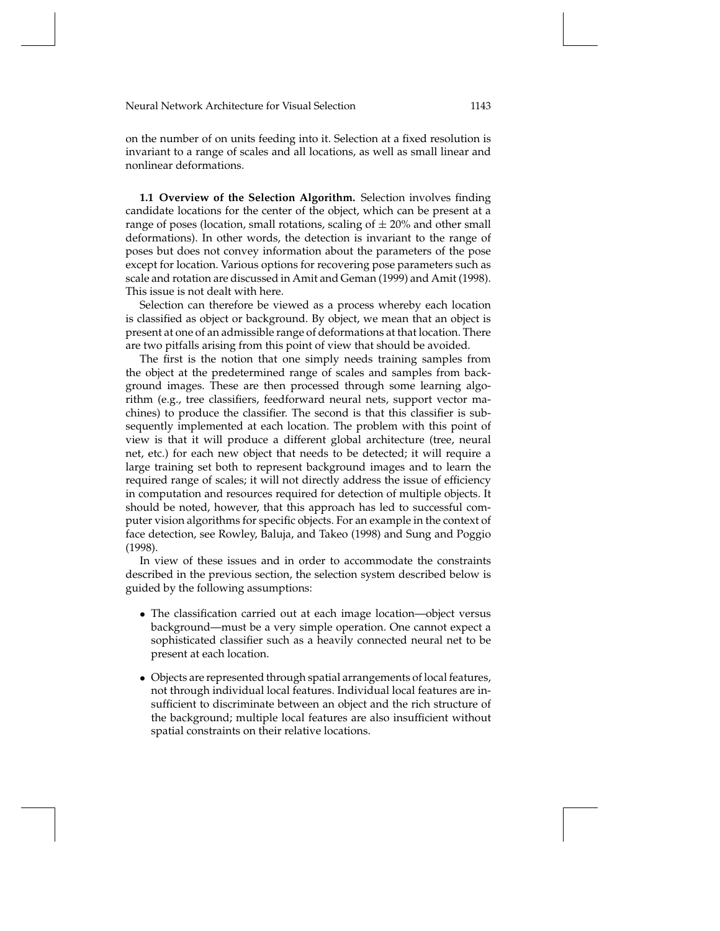on the number of on units feeding into it. Selection at a fixed resolution is invariant to a range of scales and all locations, as well as small linear and nonlinear deformations.

**1.1 Overview of the Selection Algorithm.** Selection involves finding candidate locations for the center of the object, which can be present at a range of poses (location, small rotations, scaling of  $\pm$  20% and other small deformations). In other words, the detection is invariant to the range of poses but does not convey information about the parameters of the pose except for location. Various options for recovering pose parameters such as scale and rotation are discussed in Amit and Geman (1999) and Amit (1998). This issue is not dealt with here.

Selection can therefore be viewed as a process whereby each location is classified as object or background. By object, we mean that an object is present at one of an admissible range of deformations at that location. There are two pitfalls arising from this point of view that should be avoided.

The first is the notion that one simply needs training samples from the object at the predetermined range of scales and samples from background images. These are then processed through some learning algorithm (e.g., tree classifiers, feedforward neural nets, support vector machines) to produce the classifier. The second is that this classifier is subsequently implemented at each location. The problem with this point of view is that it will produce a different global architecture (tree, neural net, etc.) for each new object that needs to be detected; it will require a large training set both to represent background images and to learn the required range of scales; it will not directly address the issue of efficiency in computation and resources required for detection of multiple objects. It should be noted, however, that this approach has led to successful computer vision algorithms for specific objects. For an example in the context of face detection, see Rowley, Baluja, and Takeo (1998) and Sung and Poggio (1998).

In view of these issues and in order to accommodate the constraints described in the previous section, the selection system described below is guided by the following assumptions:

- The classification carried out at each image location—object versus background—must be a very simple operation. One cannot expect a sophisticated classifier such as a heavily connected neural net to be present at each location.
- Objects are represented through spatial arrangements of local features, not through individual local features. Individual local features are insufficient to discriminate between an object and the rich structure of the background; multiple local features are also insufficient without spatial constraints on their relative locations.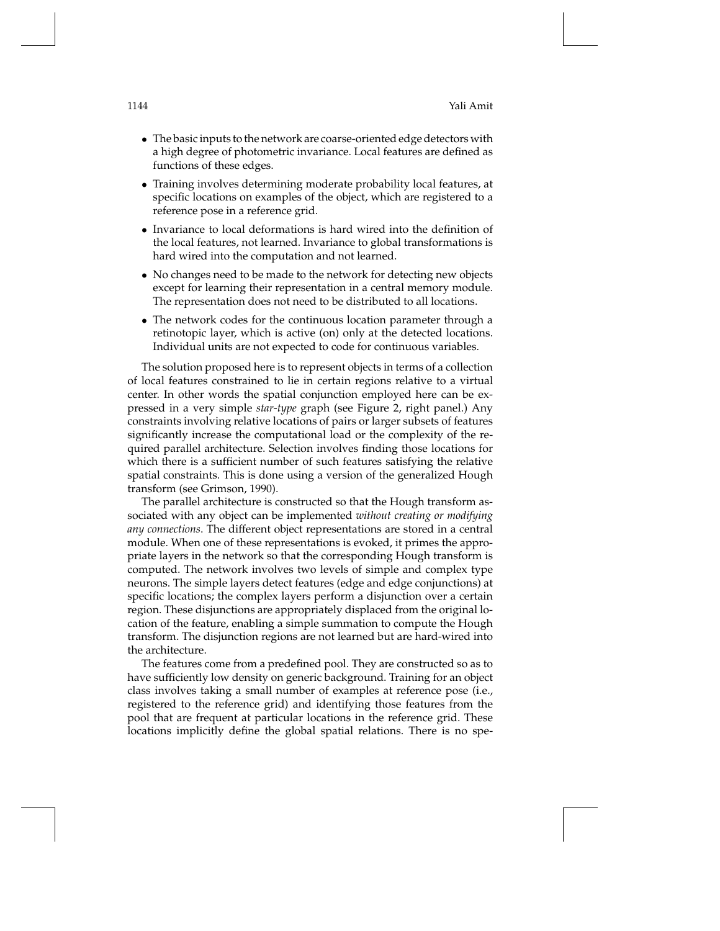- The basic inputs to the network are coarse-oriented edge detectors with a high degree of photometric invariance. Local features are defined as functions of these edges.
- Training involves determining moderate probability local features, at specific locations on examples of the object, which are registered to a reference pose in a reference grid.
- Invariance to local deformations is hard wired into the definition of the local features, not learned. Invariance to global transformations is hard wired into the computation and not learned.
- No changes need to be made to the network for detecting new objects except for learning their representation in a central memory module. The representation does not need to be distributed to all locations.
- The network codes for the continuous location parameter through a retinotopic layer, which is active (on) only at the detected locations. Individual units are not expected to code for continuous variables.

The solution proposed here is to represent objects in terms of a collection of local features constrained to lie in certain regions relative to a virtual center. In other words the spatial conjunction employed here can be expressed in a very simple *star-type* graph (see Figure 2, right panel.) Any constraints involving relative locations of pairs or larger subsets of features significantly increase the computational load or the complexity of the required parallel architecture. Selection involves finding those locations for which there is a sufficient number of such features satisfying the relative spatial constraints. This is done using a version of the generalized Hough transform (see Grimson, 1990).

The parallel architecture is constructed so that the Hough transform associated with any object can be implemented *without creating or modifying any connections*. The different object representations are stored in a central module. When one of these representations is evoked, it primes the appropriate layers in the network so that the corresponding Hough transform is computed. The network involves two levels of simple and complex type neurons. The simple layers detect features (edge and edge conjunctions) at specific locations; the complex layers perform a disjunction over a certain region. These disjunctions are appropriately displaced from the original location of the feature, enabling a simple summation to compute the Hough transform. The disjunction regions are not learned but are hard-wired into the architecture.

The features come from a predefined pool. They are constructed so as to have sufficiently low density on generic background. Training for an object class involves taking a small number of examples at reference pose (i.e., registered to the reference grid) and identifying those features from the pool that are frequent at particular locations in the reference grid. These locations implicitly define the global spatial relations. There is no spe-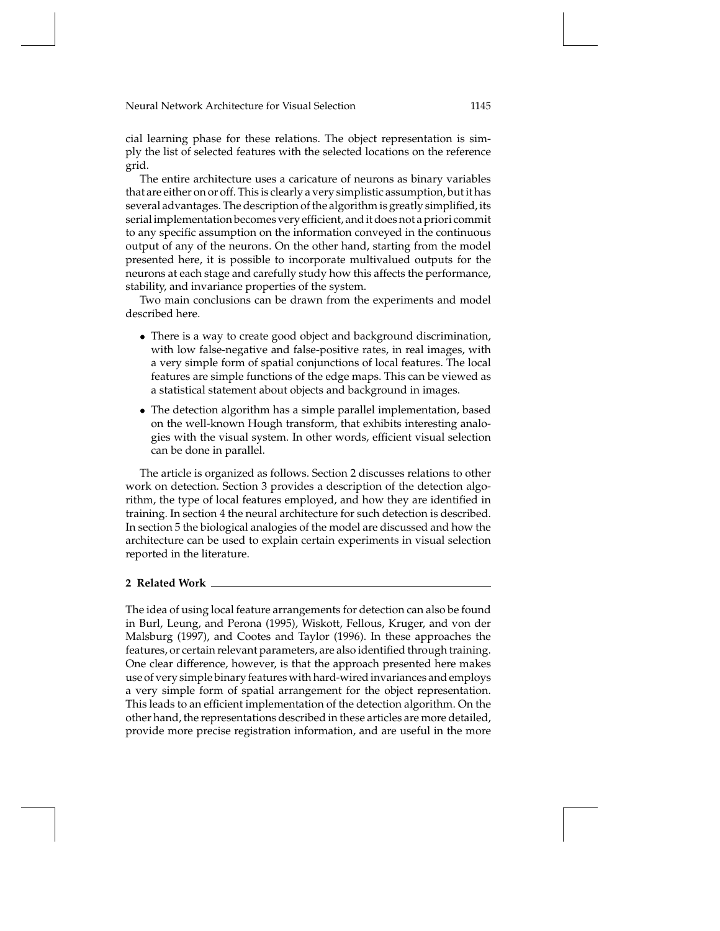cial learning phase for these relations. The object representation is simply the list of selected features with the selected locations on the reference grid.

The entire architecture uses a caricature of neurons as binary variables that are either on or off. This is clearly a very simplistic assumption, but it has several advantages. The description of the algorithm is greatly simplified, its serial implementation becomes very efficient, and it does not a priori commit to any specific assumption on the information conveyed in the continuous output of any of the neurons. On the other hand, starting from the model presented here, it is possible to incorporate multivalued outputs for the neurons at each stage and carefully study how this affects the performance, stability, and invariance properties of the system.

Two main conclusions can be drawn from the experiments and model described here.

- There is a way to create good object and background discrimination, with low false-negative and false-positive rates, in real images, with a very simple form of spatial conjunctions of local features. The local features are simple functions of the edge maps. This can be viewed as a statistical statement about objects and background in images.
- The detection algorithm has a simple parallel implementation, based on the well-known Hough transform, that exhibits interesting analogies with the visual system. In other words, efficient visual selection can be done in parallel.

The article is organized as follows. Section 2 discusses relations to other work on detection. Section 3 provides a description of the detection algorithm, the type of local features employed, and how they are identified in training. In section 4 the neural architecture for such detection is described. In section 5 the biological analogies of the model are discussed and how the architecture can be used to explain certain experiments in visual selection reported in the literature.

## **2 Related Work**

The idea of using local feature arrangements for detection can also be found in Burl, Leung, and Perona (1995), Wiskott, Fellous, Kruger, and von der Malsburg (1997), and Cootes and Taylor (1996). In these approaches the features, or certain relevant parameters, are also identified through training. One clear difference, however, is that the approach presented here makes use of very simple binary features with hard-wired invariances and employs a very simple form of spatial arrangement for the object representation. This leads to an efficient implementation of the detection algorithm. On the other hand, the representations described in these articles are more detailed, provide more precise registration information, and are useful in the more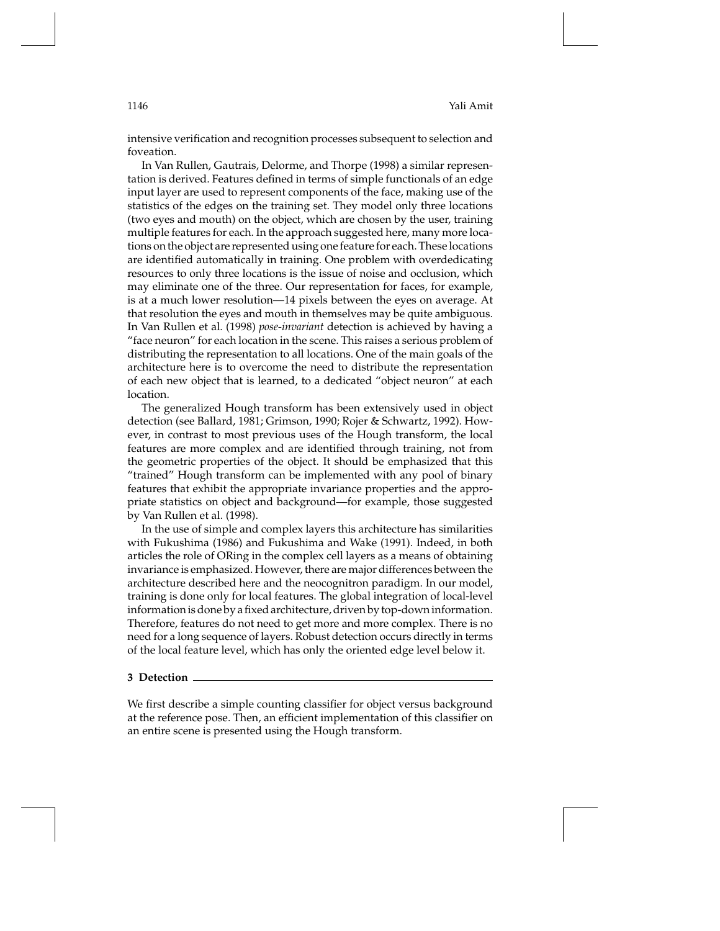intensive verification and recognition processes subsequent to selection and foveation.

In Van Rullen, Gautrais, Delorme, and Thorpe (1998) a similar representation is derived. Features defined in terms of simple functionals of an edge input layer are used to represent components of the face, making use of the statistics of the edges on the training set. They model only three locations (two eyes and mouth) on the object, which are chosen by the user, training multiple features for each. In the approach suggested here, many more locations on the object are represented using one feature for each. These locations are identified automatically in training. One problem with overdedicating resources to only three locations is the issue of noise and occlusion, which may eliminate one of the three. Our representation for faces, for example, is at a much lower resolution—14 pixels between the eyes on average. At that resolution the eyes and mouth in themselves may be quite ambiguous. In Van Rullen et al. (1998) *pose-invariant* detection is achieved by having a "face neuron" for each location in the scene. This raises a serious problem of distributing the representation to all locations. One of the main goals of the architecture here is to overcome the need to distribute the representation of each new object that is learned, to a dedicated "object neuron" at each location.

The generalized Hough transform has been extensively used in object detection (see Ballard, 1981; Grimson, 1990; Rojer & Schwartz, 1992). However, in contrast to most previous uses of the Hough transform, the local features are more complex and are identified through training, not from the geometric properties of the object. It should be emphasized that this "trained" Hough transform can be implemented with any pool of binary features that exhibit the appropriate invariance properties and the appropriate statistics on object and background—for example, those suggested by Van Rullen et al. (1998).

In the use of simple and complex layers this architecture has similarities with Fukushima (1986) and Fukushima and Wake (1991). Indeed, in both articles the role of ORing in the complex cell layers as a means of obtaining invariance is emphasized. However, there are major differences between the architecture described here and the neocognitron paradigm. In our model, training is done only for local features. The global integration of local-level information is done by a fixed architecture, driven by top-down information. Therefore, features do not need to get more and more complex. There is no need for a long sequence of layers. Robust detection occurs directly in terms of the local feature level, which has only the oriented edge level below it.

#### **3 Detection**

We first describe a simple counting classifier for object versus background at the reference pose. Then, an efficient implementation of this classifier on an entire scene is presented using the Hough transform.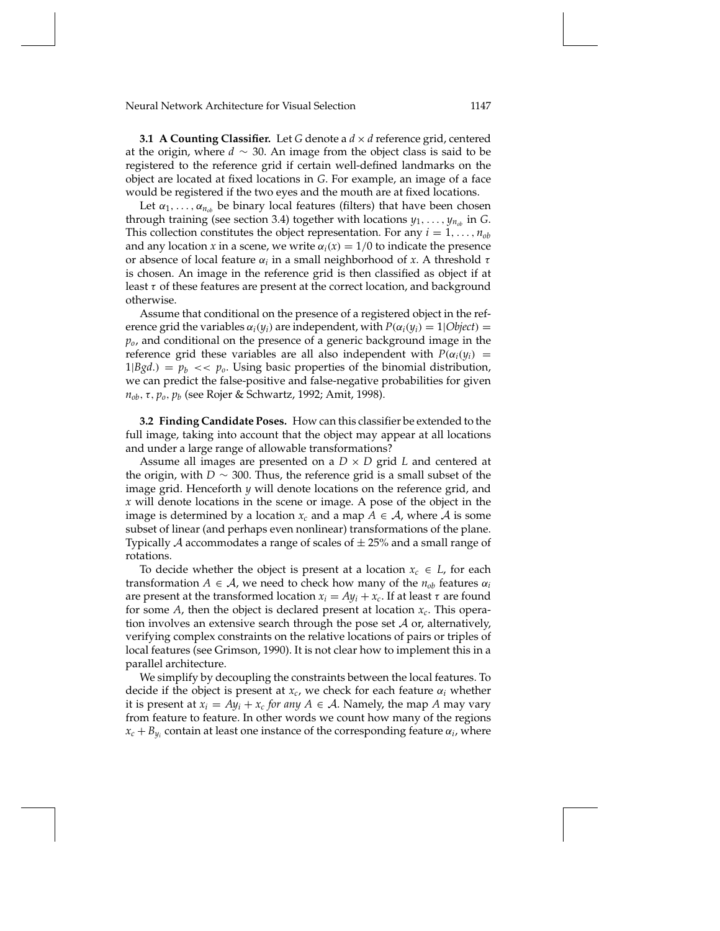**3.1 A Counting Classifier.** Let *G* denote a *d* × *d* reference grid, centered at the origin, where *d* ∼ 30. An image from the object class is said to be registered to the reference grid if certain well-defined landmarks on the object are located at fixed locations in *G*. For example, an image of a face would be registered if the two eyes and the mouth are at fixed locations.

Let  $\alpha_1, \ldots, \alpha_{n_{ob}}$  be binary local features (filters) that have been chosen through training (see section 3.4) together with locations  $y_1, \ldots, y_{n_{ob}}$  in *G*. This collection constitutes the object representation. For any  $i = 1, \ldots, n_{ob}$ and any location *x* in a scene, we write  $\alpha_i(x) = 1/0$  to indicate the presence or absence of local feature α*<sup>i</sup>* in a small neighborhood of *x*. A threshold τ is chosen. An image in the reference grid is then classified as object if at least  $\tau$  of these features are present at the correct location, and background otherwise.

Assume that conditional on the presence of a registered object in the reference grid the variables  $\alpha_i(y_i)$  are independent, with  $P(\alpha_i(y_i) = 1 | Object)$ *po*, and conditional on the presence of a generic background image in the reference grid these variables are all also independent with  $P(\alpha_i(y_i) =$  $1|Bgd.$ ) =  $p_b \ll p_o$ . Using basic properties of the binomial distribution, we can predict the false-positive and false-negative probabilities for given *nob*,τ, *po*, *pb* (see Rojer & Schwartz, 1992; Amit, 1998).

**3.2 Finding Candidate Poses.** How can this classifier be extended to the full image, taking into account that the object may appear at all locations and under a large range of allowable transformations?

Assume all images are presented on a *D* × *D* grid *L* and centered at the origin, with *D* ∼ 300. Thus, the reference grid is a small subset of the image grid. Henceforth *y* will denote locations on the reference grid, and *x* will denote locations in the scene or image. A pose of the object in the image is determined by a location  $x_c$  and a map  $A \in \mathcal{A}$ , where  $\mathcal{A}$  is some subset of linear (and perhaps even nonlinear) transformations of the plane. Typically  $A$  accommodates a range of scales of  $\pm 25%$  and a small range of rotations.

To decide whether the object is present at a location  $x_c \in L$ , for each transformation  $A \in \mathcal{A}$ , we need to check how many of the  $n_{ob}$  features  $\alpha_i$ are present at the transformed location  $x_i = Ay_i + x_c$ . If at least  $\tau$  are found for some *A*, then the object is declared present at location *xc*. This operation involves an extensive search through the pose set  $A$  or, alternatively, verifying complex constraints on the relative locations of pairs or triples of local features (see Grimson, 1990). It is not clear how to implement this in a parallel architecture.

We simplify by decoupling the constraints between the local features. To decide if the object is present at  $x_c$ , we check for each feature  $\alpha_i$  whether it is present at  $x_i = Ay_i + x_c$  *for any*  $A \in \mathcal{A}$ . Namely, the map A may vary from feature to feature. In other words we count how many of the regions  $x_c + B_{y_i}$  contain at least one instance of the corresponding feature  $\alpha_i$ , where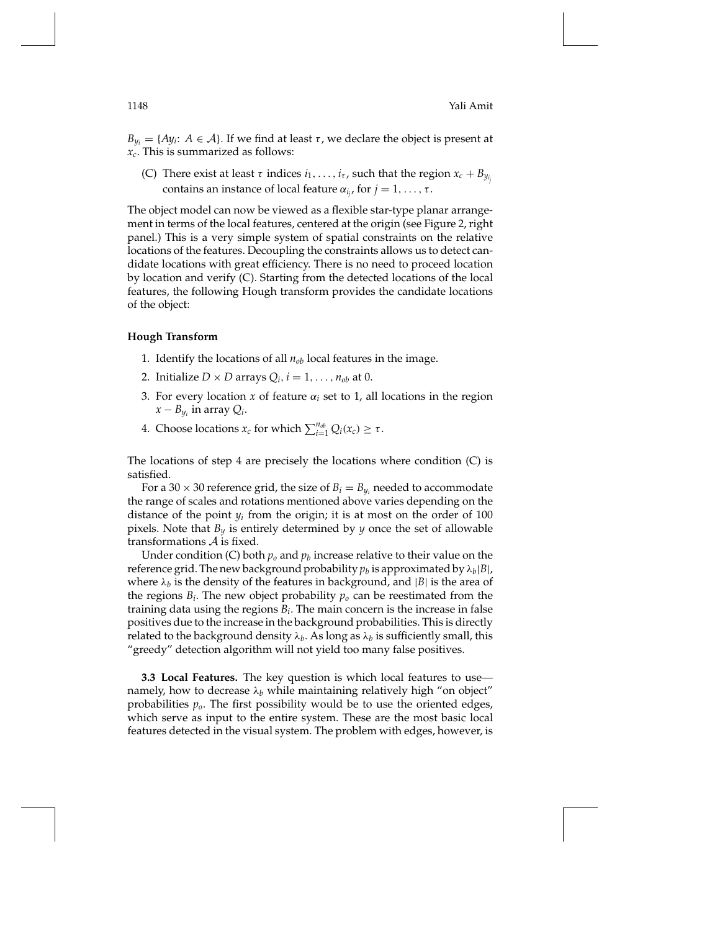$B_{y_i} = \{Ay_i: A \in \mathcal{A}\}\$ . If we find at least  $\tau$ , we declare the object is present at *xc*. This is summarized as follows:

(C) There exist at least  $\tau$  indices  $i_1, \ldots, i_{\tau}$ , such that the region  $x_c + B_{y_{i_j}}$ contains an instance of local feature  $\alpha_{i_j}$ , for  $j = 1, \ldots, \tau$ .

The object model can now be viewed as a flexible star-type planar arrangement in terms of the local features, centered at the origin (see Figure 2, right panel.) This is a very simple system of spatial constraints on the relative locations of the features. Decoupling the constraints allows us to detect candidate locations with great efficiency. There is no need to proceed location by location and verify (C). Starting from the detected locations of the local features, the following Hough transform provides the candidate locations of the object:

### **Hough Transform**

- 1. Identify the locations of all  $n_{ob}$  local features in the image.
- 2. Initialize  $D \times D$  arrays  $Q_i$ ,  $i = 1, \ldots, n_{ob}$  at 0.
- 3. For every location *x* of feature  $\alpha_i$  set to 1, all locations in the region  $x - B_{y_i}$  in array  $Q_i$ .
- 4. Choose locations  $x_c$  for which  $\sum_{i=1}^{n_{ob}} Q_i(x_c) \geq \tau$ .

The locations of step 4 are precisely the locations where condition (C) is satisfied.

For a 30  $\times$  30 reference grid, the size of  $B_i = B_{y_i}$  needed to accommodate the range of scales and rotations mentioned above varies depending on the distance of the point  $y_i$  from the origin; it is at most on the order of 100 pixels. Note that *By* is entirely determined by *y* once the set of allowable transformations  $A$  is fixed.

Under condition (C) both  $p_0$  and  $p_b$  increase relative to their value on the reference grid. The new background probability  $p_b$  is approximated by  $\lambda_b|B|$ , where  $\lambda_b$  is the density of the features in background, and  $|B|$  is the area of the regions  $B_i$ . The new object probability  $p_o$  can be reestimated from the training data using the regions *Bi*. The main concern is the increase in false positives due to the increase in the background probabilities. This is directly related to the background density  $\lambda_b$ . As long as  $\lambda_b$  is sufficiently small, this "greedy" detection algorithm will not yield too many false positives.

**3.3 Local Features.** The key question is which local features to use namely, how to decrease  $\lambda_b$  while maintaining relatively high "on object" probabilities *po*. The first possibility would be to use the oriented edges, which serve as input to the entire system. These are the most basic local features detected in the visual system. The problem with edges, however, is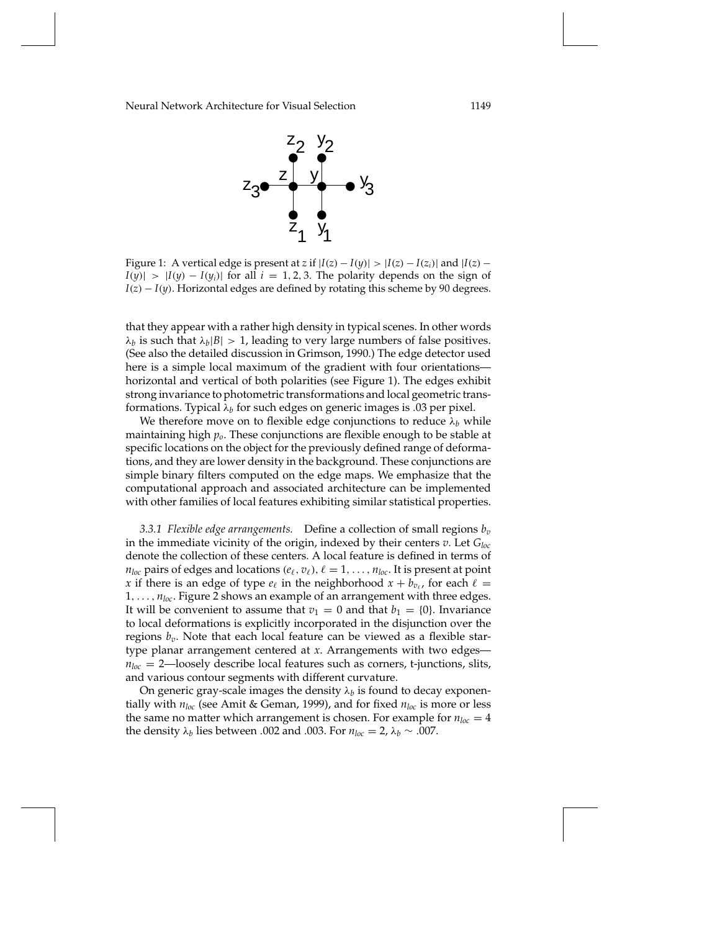

Figure 1: A vertical edge is present at *z* if  $|I(z) - I(y)| > |I(z) - I(z_i)|$  and  $|I(z) - I(z_i)|$  $I(y)$ | >  $|I(y) - I(y_i)|$  for all  $i = 1, 2, 3$ . The polarity depends on the sign of *I*(*z*) − *I*(*y*). Horizontal edges are defined by rotating this scheme by 90 degrees.

that they appear with a rather high density in typical scenes. In other words  $\lambda_b$  is such that  $\lambda_b|B| > 1$ , leading to very large numbers of false positives. (See also the detailed discussion in Grimson, 1990.) The edge detector used here is a simple local maximum of the gradient with four orientations horizontal and vertical of both polarities (see Figure 1). The edges exhibit strong invariance to photometric transformations and local geometric transformations. Typical  $\lambda_b$  for such edges on generic images is .03 per pixel.

We therefore move on to flexible edge conjunctions to reduce  $\lambda_b$  while maintaining high *po*. These conjunctions are flexible enough to be stable at specific locations on the object for the previously defined range of deformations, and they are lower density in the background. These conjunctions are simple binary filters computed on the edge maps. We emphasize that the computational approach and associated architecture can be implemented with other families of local features exhibiting similar statistical properties.

*3.3.1 Flexible edge arrangements.* Define a collection of small regions *bv* in the immediate vicinity of the origin, indexed by their centers *v*. Let *Gloc* denote the collection of these centers. A local feature is defined in terms of  $n_{loc}$  pairs of edges and locations  $(e_\ell, v_\ell)$ ,  $\ell = 1, \ldots, n_{loc}$ . It is present at point *x* if there is an edge of type  $e_\ell$  in the neighborhood  $x + b_{v_\ell}$ , for each  $\ell =$ 1,..., *nloc*. Figure 2 shows an example of an arrangement with three edges. It will be convenient to assume that  $v_1 = 0$  and that  $b_1 = \{0\}$ . Invariance to local deformations is explicitly incorporated in the disjunction over the regions  $b_v$ . Note that each local feature can be viewed as a flexible startype planar arrangement centered at *x*. Arrangements with two edges  $n_{loc} = 2$ —loosely describe local features such as corners, t-junctions, slits, and various contour segments with different curvature.

On generic gray-scale images the density  $\lambda_b$  is found to decay exponentially with *nloc* (see Amit & Geman, 1999), and for fixed *nloc* is more or less the same no matter which arrangement is chosen. For example for  $n_{loc} = 4$ the density  $λ<sub>b</sub>$  lies between .002 and .003. For  $n<sub>loc</sub> = 2, λ<sub>b</sub> ∼ .007$ .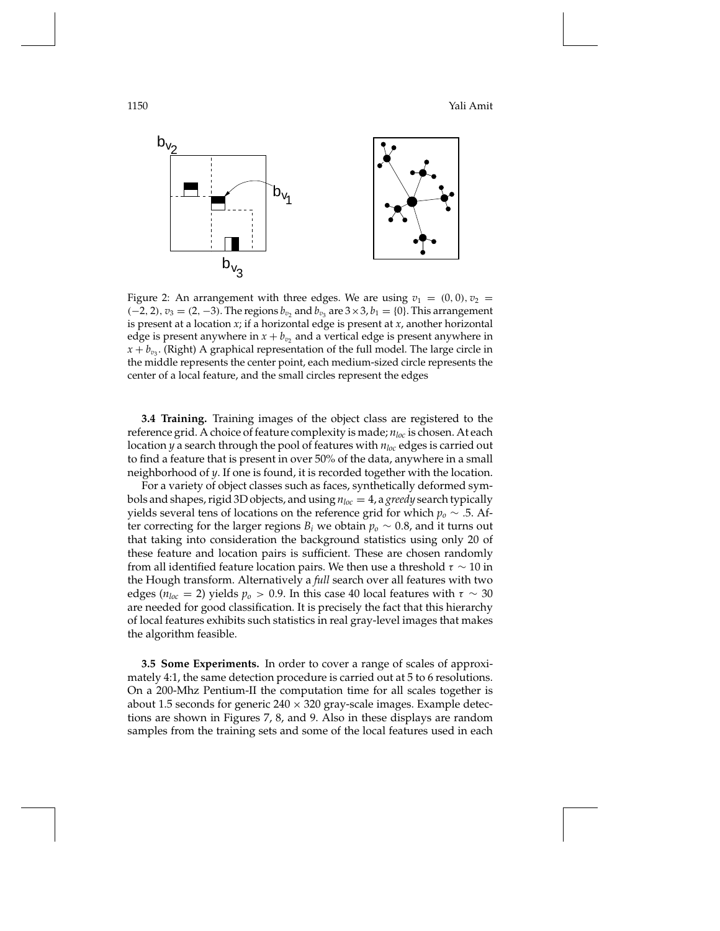1150 Yali Amit



Figure 2: An arrangement with three edges. We are using  $v_1 = (0, 0), v_2 =$ (−2, 2),  $v_3 = (2, -3)$ . The regions  $b_{v_2}$  and  $b_{v_3}$  are  $3 \times 3$ ,  $b_1 = \{0\}$ . This arrangement is present at a location *x*; if a horizontal edge is present at *x*, another horizontal edge is present anywhere in  $x + b_v$ , and a vertical edge is present anywhere in  $x + b_{v_3}$ . (Right) A graphical representation of the full model. The large circle in the middle represents the center point, each medium-sized circle represents the center of a local feature, and the small circles represent the edges

**3.4 Training.** Training images of the object class are registered to the reference grid. A choice of feature complexity is made; *nloc* is chosen. At each location *y* a search through the pool of features with *nloc* edges is carried out to find a feature that is present in over 50% of the data, anywhere in a small neighborhood of *y*. If one is found, it is recorded together with the location.

For a variety of object classes such as faces, synthetically deformed symbols and shapes, rigid 3D objects, and using *nloc* = 4, a *greedy* search typically yields several tens of locations on the reference grid for which *po* ∼ .5. After correcting for the larger regions  $B_i$  we obtain  $p_o \sim 0.8$ , and it turns out that taking into consideration the background statistics using only 20 of these feature and location pairs is sufficient. These are chosen randomly from all identified feature location pairs. We then use a threshold  $\tau \sim 10$  in the Hough transform. Alternatively a *full* search over all features with two edges ( $n_{loc} = 2$ ) yields  $p_o > 0.9$ . In this case 40 local features with  $\tau \sim 30$ are needed for good classification. It is precisely the fact that this hierarchy of local features exhibits such statistics in real gray-level images that makes the algorithm feasible.

**3.5 Some Experiments.** In order to cover a range of scales of approximately 4:1, the same detection procedure is carried out at 5 to 6 resolutions. On a 200-Mhz Pentium-II the computation time for all scales together is about 1.5 seconds for generic  $240 \times 320$  gray-scale images. Example detections are shown in Figures 7, 8, and 9. Also in these displays are random samples from the training sets and some of the local features used in each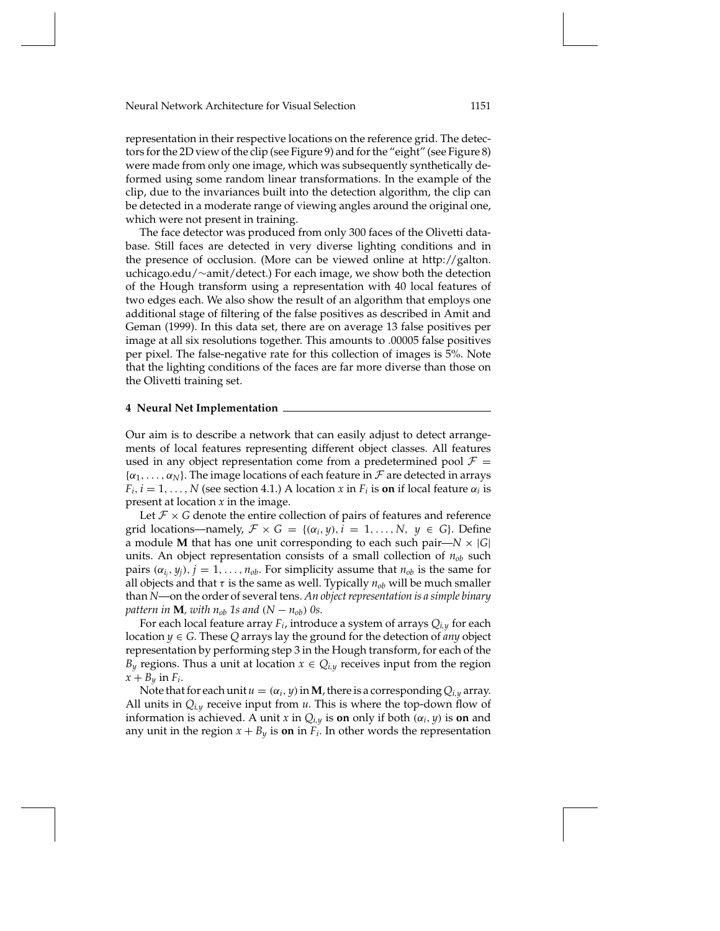representation in their respective locations on the reference grid. The detectors for the 2D view of the clip (see Figure 9) and for the "eight" (see Figure 8) were made from only one image, which was subsequently synthetically deformed using some random linear transformations. In the example of the clip, due to the invariances built into the detection algorithm, the clip can be detected in a moderate range of viewing angles around the original one, which were not present in training.

The face detector was produced from only 300 faces of the Olivetti database. Still faces are detected in very diverse lighting conditions and in the presence of occlusion. (More can be viewed online at http://galton. uchicago.edu/∼amit/detect.) For each image, we show both the detection of the Hough transform using a representation with 40 local features of two edges each. We also show the result of an algorithm that employs one additional stage of filtering of the false positives as described in Amit and Geman (1999). In this data set, there are on average 13 false positives per image at all six resolutions together. This amounts to .00005 false positives per pixel. The false-negative rate for this collection of images is 5%. Note that the lighting conditions of the faces are far more diverse than those on the Olivetti training set.

## **4 Neural Net Implementation**

Our aim is to describe a network that can easily adjust to detect arrangements of local features representing different object classes. All features used in any object representation come from a predetermined pool  $\mathcal{F} =$  $\{\alpha_1,\ldots,\alpha_N\}$ . The image locations of each feature in  $\mathcal F$  are detected in arrays  $F_i$ ,  $i = 1, \ldots, N$  (see section 4.1.) A location *x* in  $F_i$  is **on** if local feature  $\alpha_i$  is present at location *x* in the image.

Let  $\mathcal{F} \times G$  denote the entire collection of pairs of features and reference grid locations—namely,  $\mathcal{F} \times G = \{(\alpha_i, y), i = 1, ..., N, y \in G\}$ . Define a module **M** that has one unit corresponding to each such pair— $N \times |G|$ units. An object representation consists of a small collection of  $n_{ob}$  such pairs  $(\alpha_{i_j}, y_j)$ ,  $j = 1, \ldots, n_{ob}$ . For simplicity assume that  $n_{ob}$  is the same for all objects and that  $\tau$  is the same as well. Typically  $n_{ob}$  will be much smaller than *N*—on the order of several tens. *An object representation is a simple binary pattern in* **M***, with*  $n_{ob}$  *1s and*  $(N - n_{ob})$  *0s.* 

For each local feature array *Fi*, introduce a system of arrays *Qi*,*<sup>y</sup>* for each location *y* ∈ *G*. These *Q* arrays lay the ground for the detection of *any* object representation by performing step 3 in the Hough transform, for each of the *B<sub>y</sub>* regions. Thus a unit at location  $x \in Q_{i,y}$  receives input from the region  $x + B_y$  in  $F_i$ .

Note that for each unit  $u = (\alpha_i, y)$  in **M**, there is a corresponding  $Q_{i,y}$  array. All units in *Qi*,*<sup>y</sup>* receive input from *u*. This is where the top-down flow of information is achieved. A unit *x* in  $Q_{i,y}$  is **on** only if both  $(\alpha_i, y)$  is **on** and any unit in the region  $x + B_y$  is **on** in  $F_i$ . In other words the representation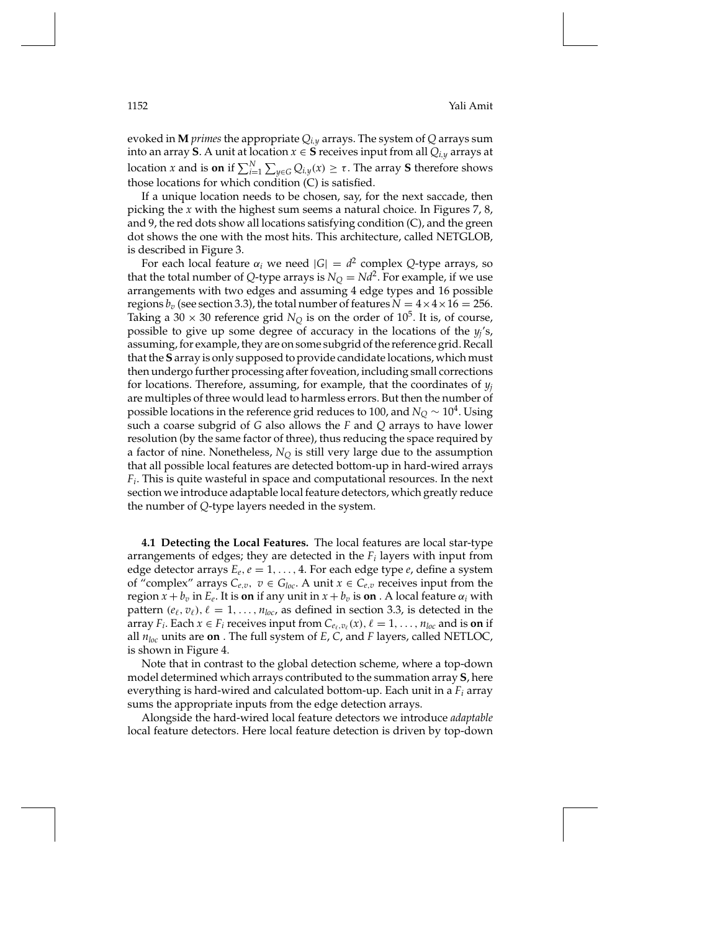evoked in **M** *primes* the appropriate *Qi*,*<sup>y</sup>* arrays. The system of *Q* arrays sum into an array **S**. A unit at location  $x \in S$  receives input from all  $Q_{i,y}$  arrays at location *x* and is **on** if  $\sum_{i=1}^{N} \sum_{y \in G} Q_{i,y}(x) \geq \tau$ . The array **S** therefore shows those locations for which condition (C) is satisfied.

If a unique location needs to be chosen, say, for the next saccade, then picking the *x* with the highest sum seems a natural choice. In Figures 7, 8, and 9, the red dots show all locations satisfying condition (C), and the green dot shows the one with the most hits. This architecture, called NETGLOB, is described in Figure 3.

For each local feature  $\alpha_i$  we need  $|G| = d^2$  complex *Q*-type arrays, so that the total number of *Q*-type arrays is  $N_Q = Nd^2$ . For example, if we use arrangements with two edges and assuming 4 edge types and 16 possible regions  $b_v$  (see section 3.3), the total number of features  $N = 4 \times 4 \times 16 = 256$ . Taking a 30  $\times$  30 reference grid *N*<sub>Q</sub> is on the order of 10<sup>5</sup>. It is, of course, possible to give up some degree of accuracy in the locations of the *yj*'s, assuming, for example, they are on some subgrid of the reference grid. Recall that the **S** array is only supposed to provide candidate locations, which must then undergo further processing after foveation, including small corrections for locations. Therefore, assuming, for example, that the coordinates of *yj* are multiples of three would lead to harmless errors. But then the number of possible locations in the reference grid reduces to 100, and  $N_Q \sim 10^4$ . Using such a coarse subgrid of *G* also allows the *F* and *Q* arrays to have lower resolution (by the same factor of three), thus reducing the space required by a factor of nine. Nonetheless, *NQ* is still very large due to the assumption that all possible local features are detected bottom-up in hard-wired arrays *Fi*. This is quite wasteful in space and computational resources. In the next section we introduce adaptable local feature detectors, which greatly reduce the number of *Q*-type layers needed in the system.

**4.1 Detecting the Local Features.** The local features are local star-type arrangements of edges; they are detected in the *Fi* layers with input from edge detector arrays *Ee*,*e* = 1,..., 4. For each edge type *e*, define a system of "complex" arrays  $C_{e,v}$ ,  $v \in G_{loc}$ . A unit  $x \in C_{e,v}$  receives input from the region  $x + b_v$  in  $E_e$ . It is **on** if any unit in  $x + b_v$  is **on** . A local feature  $\alpha_i$  with pattern  $(e_\ell, v_\ell)$ ,  $\ell = 1, \ldots, n_{loc}$ , as defined in section 3.3, is detected in the array *F<sub>i</sub>*. Each  $x \in F_i$  receives input from  $C_{e_\ell,v_\ell}(x)$ ,  $\ell = 1,\ldots,n_{loc}$  and is **on** if all *nloc* units are **on** . The full system of *E*, *C*, and *F* layers, called NETLOC, is shown in Figure 4.

Note that in contrast to the global detection scheme, where a top-down model determined which arrays contributed to the summation array **S**, here everything is hard-wired and calculated bottom-up. Each unit in a *Fi* array sums the appropriate inputs from the edge detection arrays.

Alongside the hard-wired local feature detectors we introduce *adaptable* local feature detectors. Here local feature detection is driven by top-down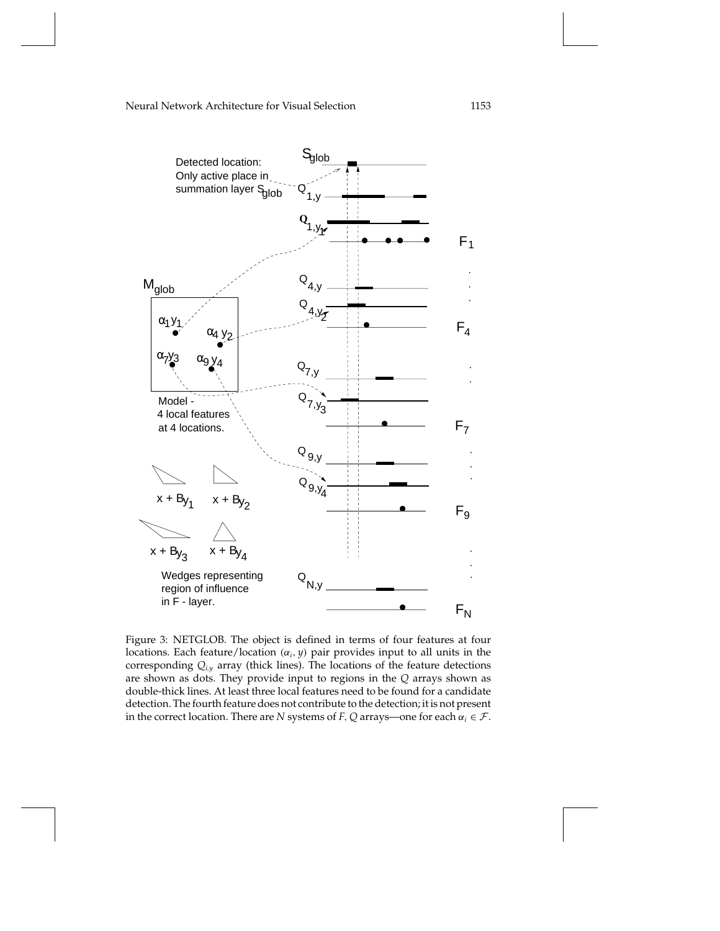

Figure 3: NETGLOB. The object is defined in terms of four features at four locations. Each feature/location (α*i*, *y*) pair provides input to all units in the corresponding *Qi*,*<sup>y</sup>* array (thick lines). The locations of the feature detections are shown as dots. They provide input to regions in the *Q* arrays shown as double-thick lines. At least three local features need to be found for a candidate detection. The fourth feature does not contribute to the detection; it is not present in the correct location. There are *N* systems of *F*, *Q* arrays—one for each  $\alpha_i \in \mathcal{F}$ .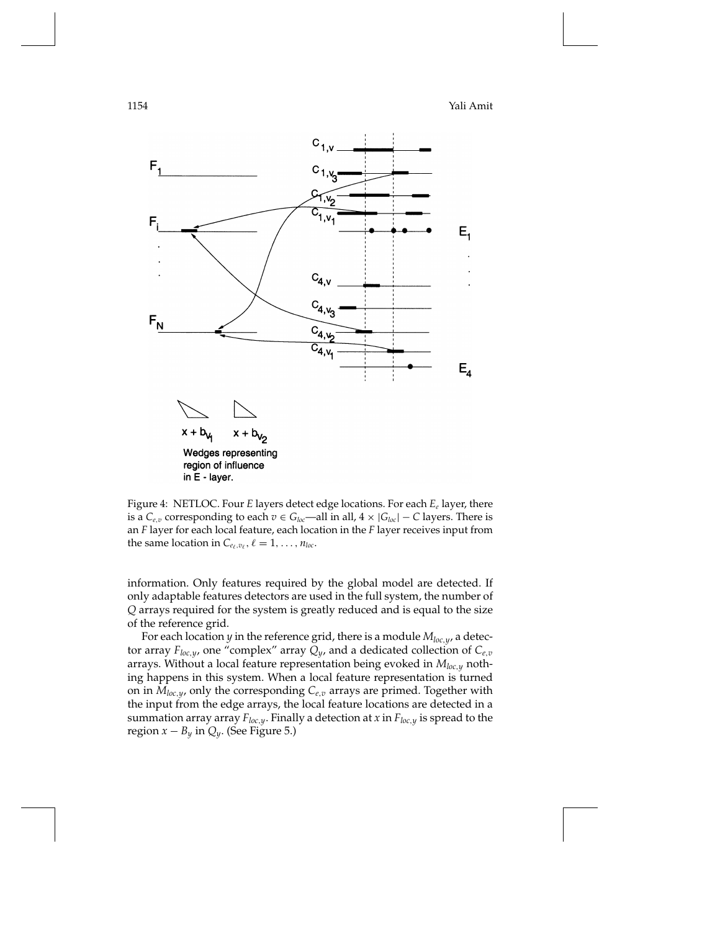

Figure 4: NETLOC. Four *E* layers detect edge locations. For each *Ee* layer, there is a *C*<sub>*e*,*v*</sub> corresponding to each *v* ∈ *G*<sub>*loc*</sub>—all in all, 4 × |*G*<sub>*loc*</sub>| − *C* layers. There is an *F* layer for each local feature, each location in the *F* layer receives input from the same location in  $C_{e_\ell,v_\ell}$ ,  $\ell = 1,\ldots,n_{loc}$ .

information. Only features required by the global model are detected. If only adaptable features detectors are used in the full system, the number of *Q* arrays required for the system is greatly reduced and is equal to the size of the reference grid.

For each location *y* in the reference grid, there is a module *Mloc*,*y*, a detector array  $F_{loc,y}$  one "complex" array  $Q_y$  , and a dedicated collection of  $C_{e,v}$ arrays. Without a local feature representation being evoked in *Mloc*,*<sup>y</sup>* nothing happens in this system. When a local feature representation is turned on in  $M_{loc,y}$ , only the corresponding  $C_{e,v}$  arrays are primed. Together with the input from the edge arrays, the local feature locations are detected in a summation array array  $F_{loc,y}$ . Finally a detection at *x* in  $F_{loc,y}$  is spread to the region  $x - B_y$  in  $Q_y$ . (See Figure 5.)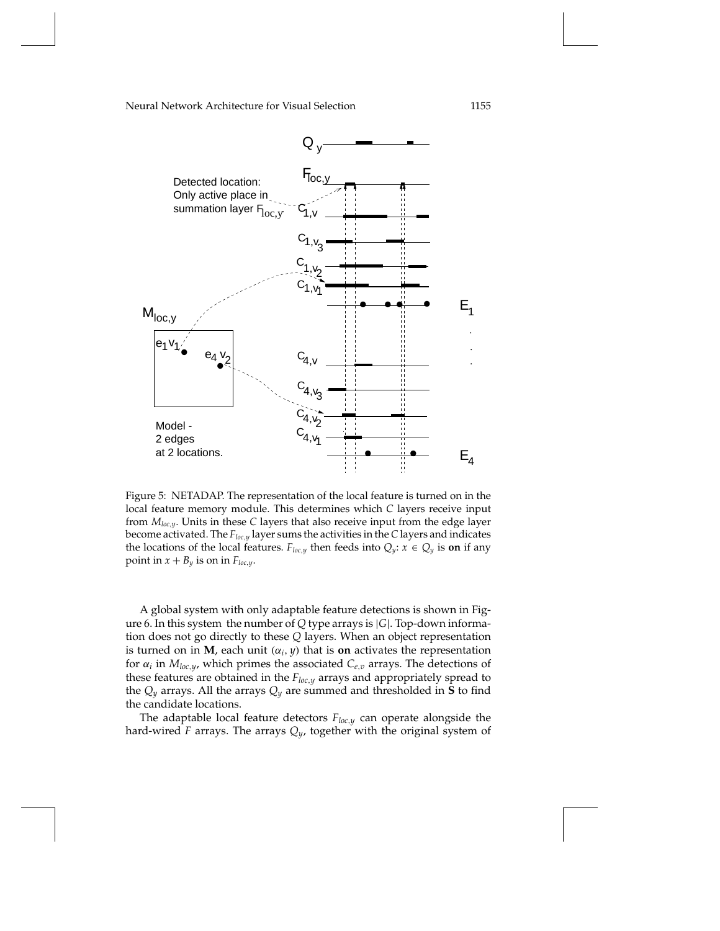

Figure 5: NETADAP. The representation of the local feature is turned on in the local feature memory module. This determines which *C* layers receive input from *Mloc*,*y*. Units in these *C* layers that also receive input from the edge layer become activated. The *Floc*,*<sup>y</sup>* layer sums the activities in the *C* layers and indicates the locations of the local features. *F*<sub>loc,y</sub> then feeds into  $Q_y$ :  $x \in Q_y$  is **on** if any point in  $x + B_y$  is on in  $F_{loc,y}$ .

A global system with only adaptable feature detections is shown in Figure 6. In this system the number of *Q* type arrays is |*G*|. Top-down information does not go directly to these *Q* layers. When an object representation is turned on in **M**, each unit  $(\alpha_i, y)$  that is **on** activates the representation for  $\alpha_i$  in  $M_{loc,y}$ , which primes the associated  $C_{e,v}$  arrays. The detections of these features are obtained in the *Floc*,*<sup>y</sup>* arrays and appropriately spread to the  $Q_y$  arrays. All the arrays  $Q_y$  are summed and thresholded in **S** to find the candidate locations.

The adaptable local feature detectors *Floc*,*<sup>y</sup>* can operate alongside the hard-wired *F* arrays. The arrays *Qy*, together with the original system of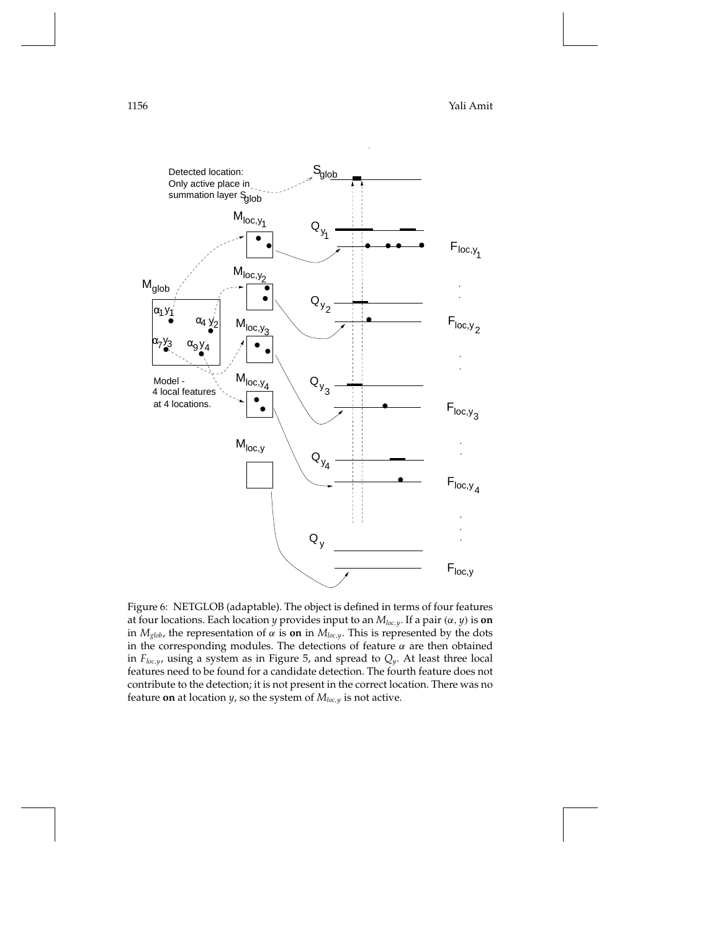1156 Yali Amit



Figure 6: NETGLOB (adaptable). The object is defined in terms of four features at four locations. Each location *y* provides input to an *Mloc*,*y*. If a pair (α, *y*) is **on** in  $M_{glob}$ , the representation of  $\alpha$  is **on** in  $M_{loc,y}$ . This is represented by the dots in the corresponding modules. The detections of feature  $\alpha$  are then obtained in *Floc*,*y*, using a system as in Figure 5, and spread to *Qy*. At least three local features need to be found for a candidate detection. The fourth feature does not contribute to the detection; it is not present in the correct location. There was no feature **on** at location *y*, so the system of *Mloc*,*<sup>y</sup>* is not active.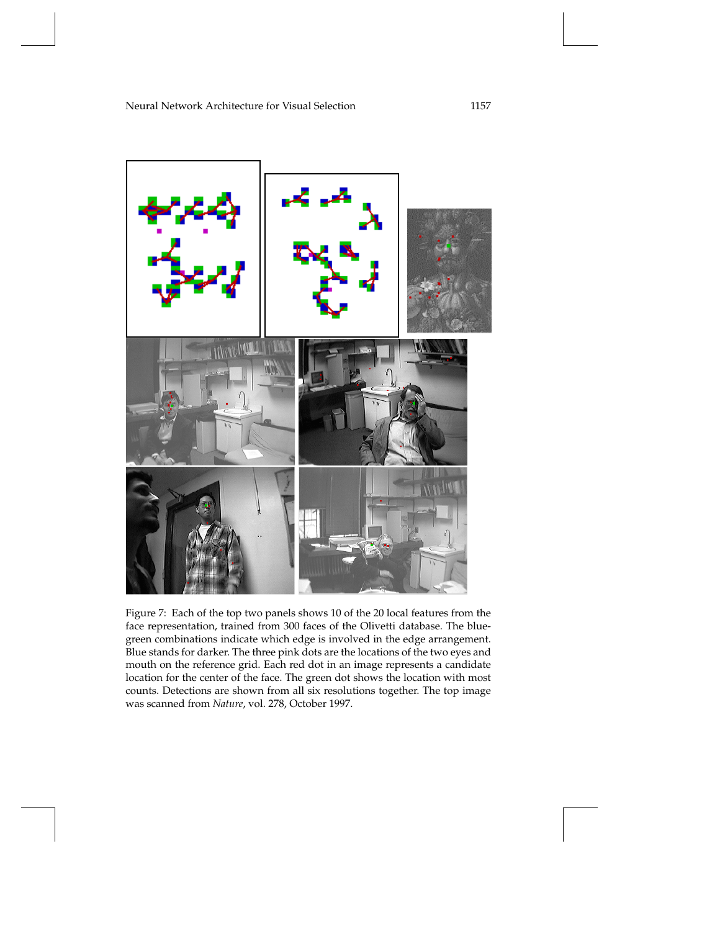

Figure 7: Each of the top two panels shows 10 of the 20 local features from the face representation, trained from 300 faces of the Olivetti database. The bluegreen combinations indicate which edge is involved in the edge arrangement. Blue stands for darker. The three pink dots are the locations of the two eyes and mouth on the reference grid. Each red dot in an image represents a candidate location for the center of the face. The green dot shows the location with most counts. Detections are shown from all six resolutions together. The top image was scanned from *Nature*, vol. 278, October 1997.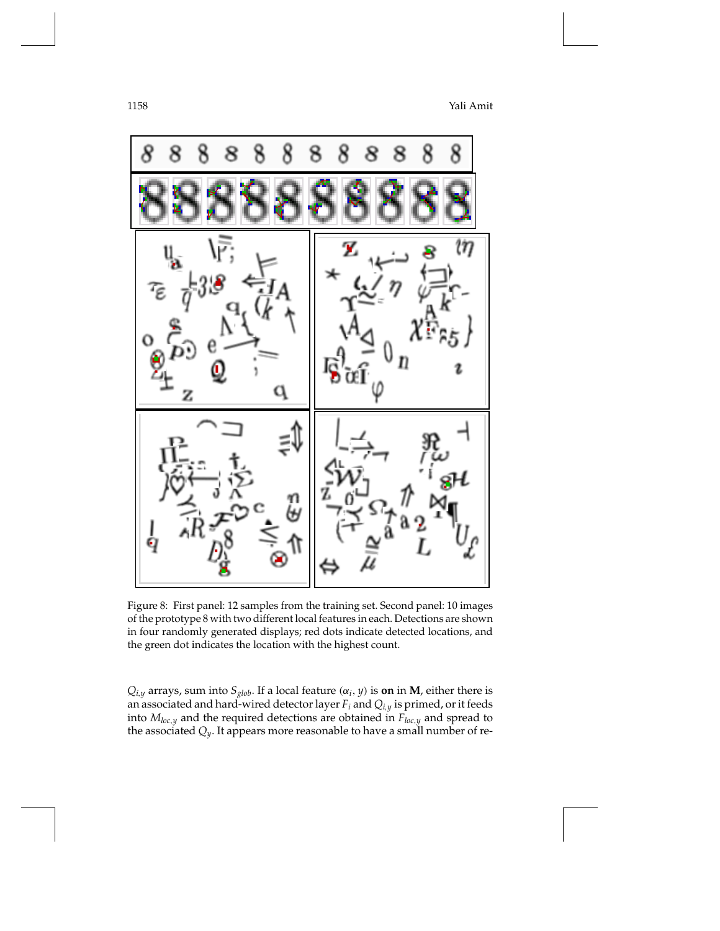1158 Yali Amit



Figure 8: First panel: 12 samples from the training set. Second panel: 10 images of the prototype 8 with two different local features in each. Detections are shown in four randomly generated displays; red dots indicate detected locations, and the green dot indicates the location with the highest count.

 $Q_{i,y}$  arrays, sum into  $S_{glob}$ . If a local feature  $(\alpha_i, y)$  is **on** in **M**, either there is an associated and hard-wired detector layer *Fi* and *Qi*,*<sup>y</sup>* is primed, or it feeds into *Mloc*,*<sup>y</sup>* and the required detections are obtained in *Floc*,*<sup>y</sup>* and spread to the associated *Qy*. It appears more reasonable to have a small number of re-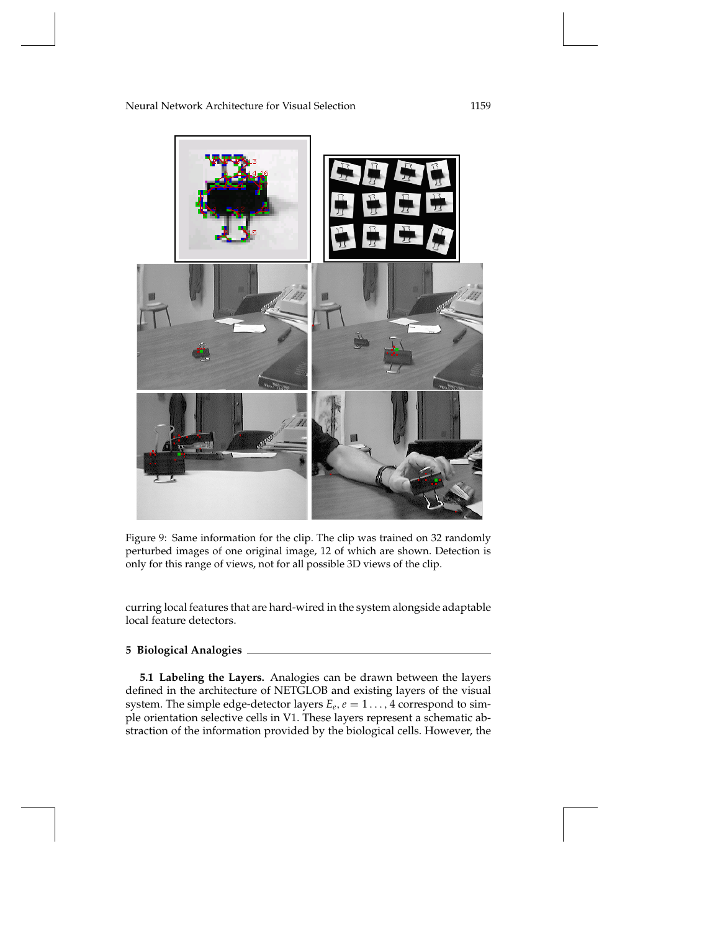

Figure 9: Same information for the clip. The clip was trained on 32 randomly perturbed images of one original image, 12 of which are shown. Detection is only for this range of views, not for all possible 3D views of the clip.

curring local features that are hard-wired in the system alongside adaptable local feature detectors.

# **5 Biological Analogies**

**5.1 Labeling the Layers.** Analogies can be drawn between the layers defined in the architecture of NETGLOB and existing layers of the visual system. The simple edge-detector layers  $E_e$ ,  $e = 1 \dots$ , 4 correspond to simple orientation selective cells in V1. These layers represent a schematic abstraction of the information provided by the biological cells. However, the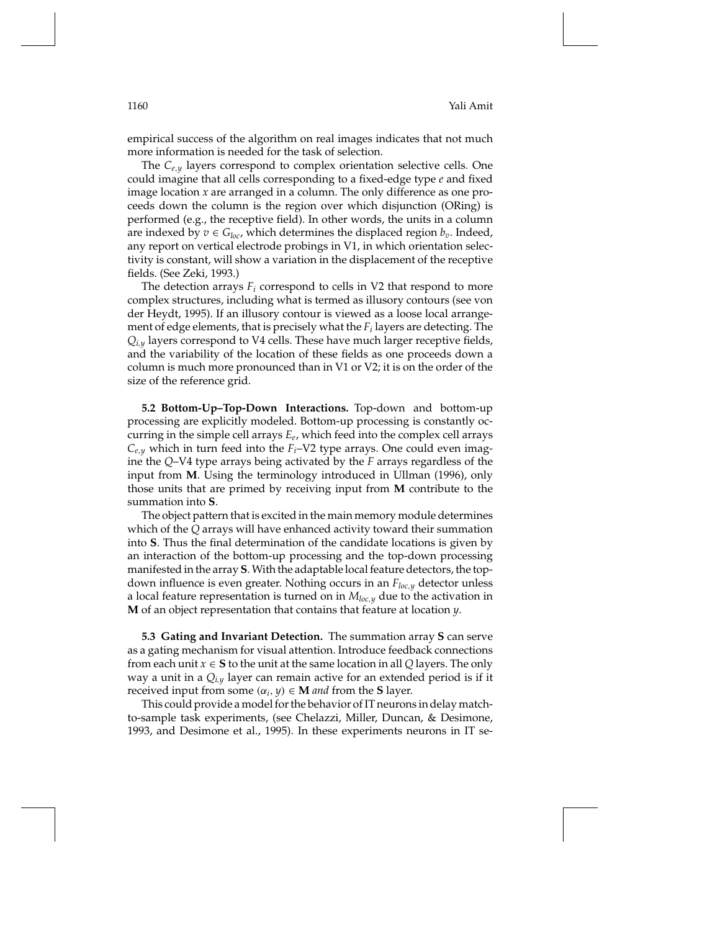empirical success of the algorithm on real images indicates that not much more information is needed for the task of selection.

The *Ce*,*<sup>y</sup>* layers correspond to complex orientation selective cells. One could imagine that all cells corresponding to a fixed-edge type *e* and fixed image location *x* are arranged in a column. The only difference as one proceeds down the column is the region over which disjunction (ORing) is performed (e.g., the receptive field). In other words, the units in a column are indexed by  $v \in G_{loc}$ , which determines the displaced region  $b_v$ . Indeed, any report on vertical electrode probings in V1, in which orientation selectivity is constant, will show a variation in the displacement of the receptive fields. (See Zeki, 1993.)

The detection arrays  $F_i$  correspond to cells in V2 that respond to more complex structures, including what is termed as illusory contours (see von der Heydt, 1995). If an illusory contour is viewed as a loose local arrangement of edge elements, that is precisely what the *Fi* layers are detecting. The  $Q_{i,y}$  layers correspond to V4 cells. These have much larger receptive fields, and the variability of the location of these fields as one proceeds down a column is much more pronounced than in V1 or V2; it is on the order of the size of the reference grid.

**5.2 Bottom-Up–Top-Down Interactions.** Top-down and bottom-up processing are explicitly modeled. Bottom-up processing is constantly occurring in the simple cell arrays *Ee*, which feed into the complex cell arrays  $C_{e,y}$  which in turn feed into the  $F_i$ –V2 type arrays. One could even imagine the *Q*–V4 type arrays being activated by the *F* arrays regardless of the input from **M**. Using the terminology introduced in Ullman (1996), only those units that are primed by receiving input from **M** contribute to the summation into **S**.

The object pattern that is excited in the main memory module determines which of the *Q* arrays will have enhanced activity toward their summation into **S**. Thus the final determination of the candidate locations is given by an interaction of the bottom-up processing and the top-down processing manifested in the array **S**. With the adaptable local feature detectors, the topdown influence is even greater. Nothing occurs in an *Floc*,*<sup>y</sup>* detector unless a local feature representation is turned on in *Mloc*,*<sup>y</sup>* due to the activation in **M** of an object representation that contains that feature at location *y*.

**5.3 Gating and Invariant Detection.** The summation array **S** can serve as a gating mechanism for visual attention. Introduce feedback connections from each unit  $x \in S$  to the unit at the same location in all *Q* layers. The only way a unit in a *Qi*,*<sup>y</sup>* layer can remain active for an extended period is if it received input from some  $(\alpha_i, y) \in \mathbf{M}$  *and* from the **S** layer.

This could provide a model for the behavior of IT neurons in delay matchto-sample task experiments, (see Chelazzi, Miller, Duncan, & Desimone, 1993, and Desimone et al., 1995). In these experiments neurons in IT se-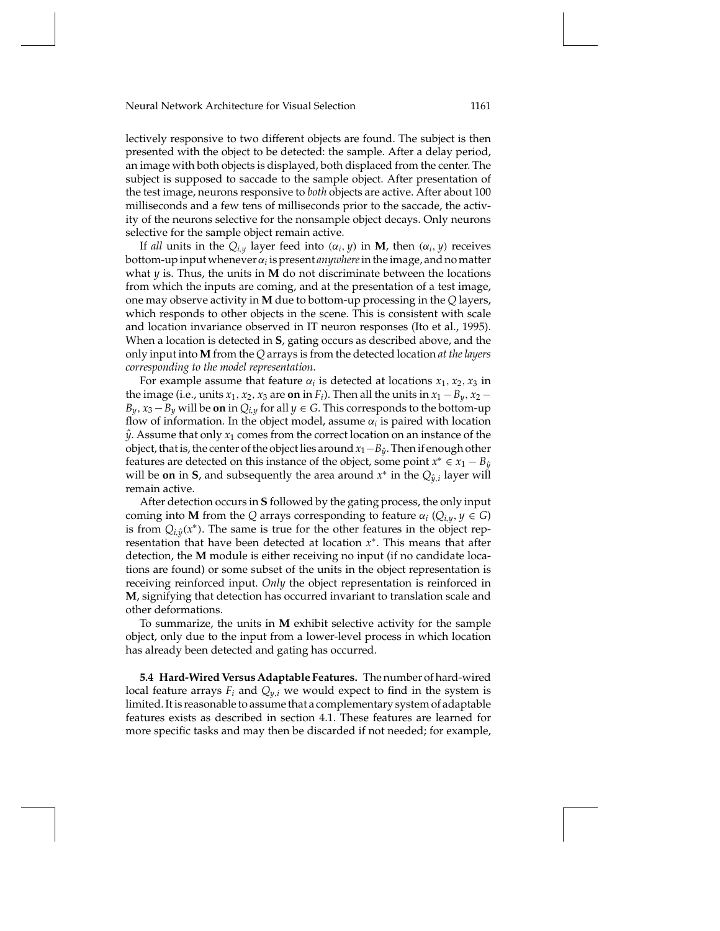lectively responsive to two different objects are found. The subject is then presented with the object to be detected: the sample. After a delay period, an image with both objects is displayed, both displaced from the center. The subject is supposed to saccade to the sample object. After presentation of the test image, neurons responsive to *both* objects are active. After about 100 milliseconds and a few tens of milliseconds prior to the saccade, the activity of the neurons selective for the nonsample object decays. Only neurons selective for the sample object remain active.

If *all* units in the  $Q_{i,y}$  layer feed into  $(\alpha_i, y)$  in **M**, then  $(\alpha_i, y)$  receives bottom-up input wheneverα*<sup>i</sup>* is present *anywhere*in the image, and no matter what *y* is. Thus, the units in **M** do not discriminate between the locations from which the inputs are coming, and at the presentation of a test image, one may observe activity in **M** due to bottom-up processing in the *Q* layers, which responds to other objects in the scene. This is consistent with scale and location invariance observed in IT neuron responses (Ito et al., 1995). When a location is detected in **S**, gating occurs as described above, and the only input into **M** from the *Q* arrays is from the detected location *at the layers corresponding to the model representation*.

For example assume that feature  $\alpha_i$  is detected at locations  $x_1, x_2, x_3$  in the image (i.e., units  $x_1, x_2, x_3$  are on in  $F_i$ ). Then all the units in  $x_1 - B_y$ ,  $x_2 B_y$ ,  $x_3 - B_y$  will be on in  $Q_{i,y}$  for all  $y \in G$ . This corresponds to the bottom-up flow of information. In the object model, assume  $\alpha_i$  is paired with location  $\hat{y}$ . Assume that only  $x_1$  comes from the correct location on an instance of the object, that is, the center of the object lies around*x*1−*By*ˆ. Then if enough other features are detected on this instance of the object, some point  $x^* \in x_1 - B_{\hat{y}}$ will be **on** in **S**, and subsequently the area around  $x^*$  in the  $Q_{\hat{y},i}$  layer will remain active.

After detection occurs in **S** followed by the gating process, the only input coming into **M** from the *Q* arrays corresponding to feature  $\alpha_i$  ( $Q_{i,y}$ ,  $y \in G$ ) is from  $Q_{i\hat{y}}(x^*)$ . The same is true for the other features in the object representation that have been detected at location *x*∗. This means that after detection, the **M** module is either receiving no input (if no candidate locations are found) or some subset of the units in the object representation is receiving reinforced input. *Only* the object representation is reinforced in **M**, signifying that detection has occurred invariant to translation scale and other deformations.

To summarize, the units in **M** exhibit selective activity for the sample object, only due to the input from a lower-level process in which location has already been detected and gating has occurred.

**5.4 Hard-Wired Versus Adaptable Features.** The number of hard-wired local feature arrays  $F_i$  and  $Q_{y,i}$  we would expect to find in the system is limited. It is reasonable to assume that a complementary system of adaptable features exists as described in section 4.1. These features are learned for more specific tasks and may then be discarded if not needed; for example,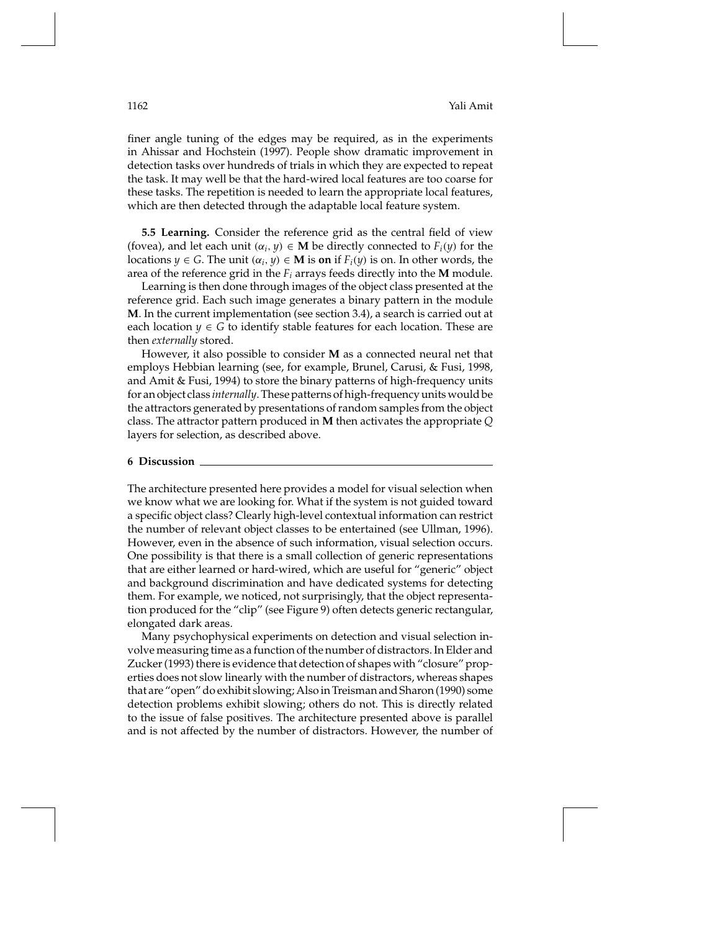finer angle tuning of the edges may be required, as in the experiments in Ahissar and Hochstein (1997). People show dramatic improvement in detection tasks over hundreds of trials in which they are expected to repeat the task. It may well be that the hard-wired local features are too coarse for these tasks. The repetition is needed to learn the appropriate local features, which are then detected through the adaptable local feature system.

**5.5 Learning.** Consider the reference grid as the central field of view (fovea), and let each unit  $(\alpha_i, y) \in \mathbf{M}$  be directly connected to  $F_i(y)$  for the locations  $y \in G$ . The unit  $(\alpha_i, y) \in M$  is on if  $F_i(y)$  is on. In other words, the area of the reference grid in the  $F_i$  arrays feeds directly into the **M** module.

Learning is then done through images of the object class presented at the reference grid. Each such image generates a binary pattern in the module **M**. In the current implementation (see section 3.4), a search is carried out at each location  $y \in G$  to identify stable features for each location. These are then *externally* stored.

However, it also possible to consider **M** as a connected neural net that employs Hebbian learning (see, for example, Brunel, Carusi, & Fusi, 1998, and Amit & Fusi, 1994) to store the binary patterns of high-frequency units for an object class *internally*. These patterns of high-frequency units would be the attractors generated by presentations of random samples from the object class. The attractor pattern produced in **M** then activates the appropriate *Q* layers for selection, as described above.

#### **6 Discussion**

The architecture presented here provides a model for visual selection when we know what we are looking for. What if the system is not guided toward a specific object class? Clearly high-level contextual information can restrict the number of relevant object classes to be entertained (see Ullman, 1996). However, even in the absence of such information, visual selection occurs. One possibility is that there is a small collection of generic representations that are either learned or hard-wired, which are useful for "generic" object and background discrimination and have dedicated systems for detecting them. For example, we noticed, not surprisingly, that the object representation produced for the "clip" (see Figure 9) often detects generic rectangular, elongated dark areas.

Many psychophysical experiments on detection and visual selection involve measuring time as a function of the number of distractors. In Elder and Zucker (1993) there is evidence that detection of shapes with "closure" properties does not slow linearly with the number of distractors, whereas shapes that are "open" do exhibit slowing; Also in Treisman and Sharon (1990) some detection problems exhibit slowing; others do not. This is directly related to the issue of false positives. The architecture presented above is parallel and is not affected by the number of distractors. However, the number of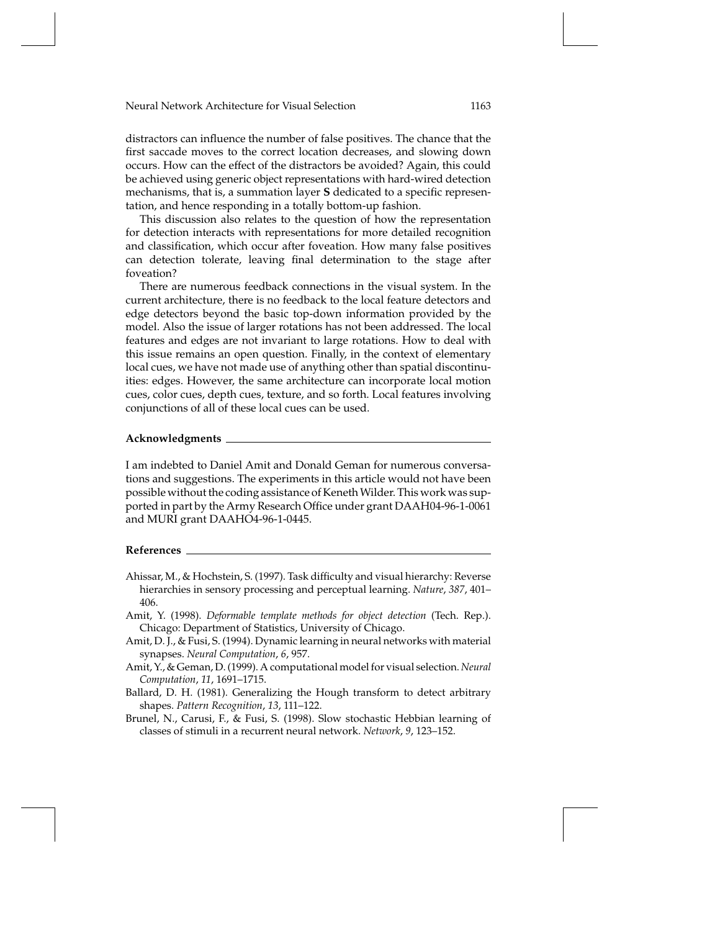distractors can influence the number of false positives. The chance that the first saccade moves to the correct location decreases, and slowing down occurs. How can the effect of the distractors be avoided? Again, this could be achieved using generic object representations with hard-wired detection mechanisms, that is, a summation layer **S** dedicated to a specific representation, and hence responding in a totally bottom-up fashion.

This discussion also relates to the question of how the representation for detection interacts with representations for more detailed recognition and classification, which occur after foveation. How many false positives can detection tolerate, leaving final determination to the stage after foveation?

There are numerous feedback connections in the visual system. In the current architecture, there is no feedback to the local feature detectors and edge detectors beyond the basic top-down information provided by the model. Also the issue of larger rotations has not been addressed. The local features and edges are not invariant to large rotations. How to deal with this issue remains an open question. Finally, in the context of elementary local cues, we have not made use of anything other than spatial discontinuities: edges. However, the same architecture can incorporate local motion cues, color cues, depth cues, texture, and so forth. Local features involving conjunctions of all of these local cues can be used.

## **Acknowledgments**

I am indebted to Daniel Amit and Donald Geman for numerous conversations and suggestions. The experiments in this article would not have been possible without the coding assistance of Keneth Wilder. This work was supported in part by the Army Research Office under grant DAAH04-96-1-0061 and MURI grant DAAHO4-96-1-0445.

# **References**

- Ahissar, M., & Hochstein, S. (1997). Task difficulty and visual hierarchy: Reverse hierarchies in sensory processing and perceptual learning. *Nature*, *387*, 401– 406.
- Amit, Y. (1998). *Deformable template methods for object detection* (Tech. Rep.). Chicago: Department of Statistics, University of Chicago.
- Amit, D. J., & Fusi, S. (1994). Dynamic learning in neural networks with material synapses. *Neural Computation*, *6*, 957.
- Amit, Y., & Geman, D. (1999). A computational model for visual selection. *Neural Computation*, *11*, 1691–1715.
- Ballard, D. H. (1981). Generalizing the Hough transform to detect arbitrary shapes. *Pattern Recognition*, *13*, 111–122.
- Brunel, N., Carusi, F., & Fusi, S. (1998). Slow stochastic Hebbian learning of classes of stimuli in a recurrent neural network. *Network*, *9*, 123–152.